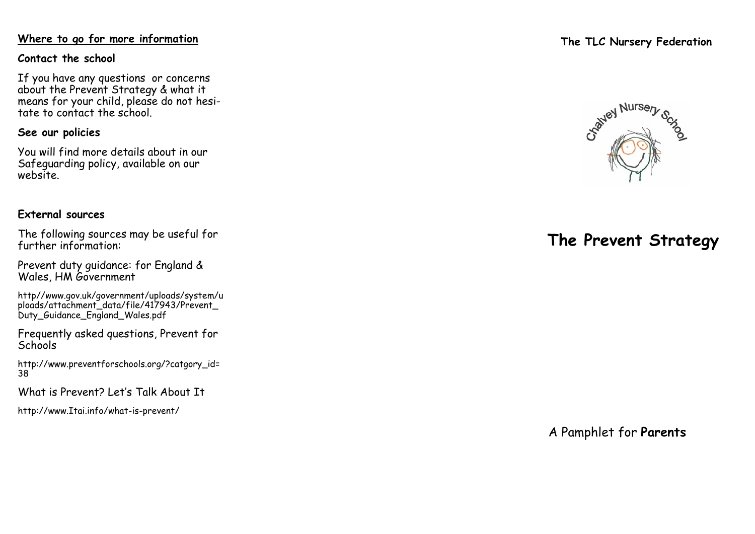### **Where to go for more information**

### **Contact the school**

If you have any questions or concerns about the Prevent Strategy & what it means for your child, please do not hesitate to contact the school.

### **See our policies**

You will find more details about in our Safeguarding policy, available on our website.

### **External sources**

The following sources may be useful for further information:

Prevent duty guidance: for England & Wales, HM Government

http//www.gov.uk/government/uploads/system/u ploads/attachment\_data/file/417943/Prevent\_ Duty\_Guidance\_England\_Wales.pdf

Frequently asked questions, Prevent for **Schools** 

http://www.preventforschools.org/?catgory\_id= 38

What is Prevent? Let 's Talk About It

http://www.Itai.info/what -is -prevent/

## **The TLC Nursery Federation**



# **The Prevent Strategy**

A Pamphlet for **Parents**